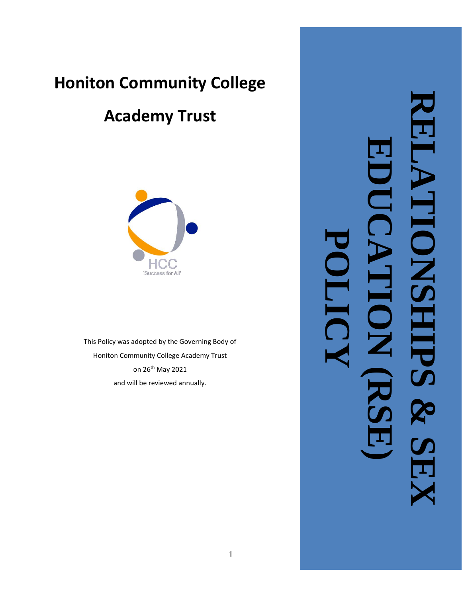# **Honiton Community College**

# **Academy Trust**



This Policy was adopted by the Governing Body of Honiton Community College Academy Trust on 26<sup>th</sup> May 2021 and will be reviewed annually.

**RELATIONSHIPS EDUCATION (RSE) NON POLICY& SEX**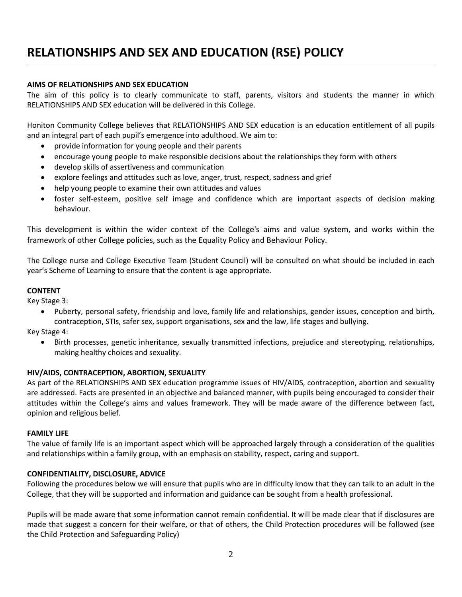# **RELATIONSHIPS AND SEX AND EDUCATION (RSE) POLICY**

### **AIMS OF RELATIONSHIPS AND SEX EDUCATION**

The aim of this policy is to clearly communicate to staff, parents, visitors and students the manner in which RELATIONSHIPS AND SEX education will be delivered in this College.

Honiton Community College believes that RELATIONSHIPS AND SEX education is an education entitlement of all pupils and an integral part of each pupil's emergence into adulthood. We aim to:

- provide information for young people and their parents
- encourage young people to make responsible decisions about the relationships they form with others
- develop skills of assertiveness and communication
- explore feelings and attitudes such as love, anger, trust, respect, sadness and grief
- help young people to examine their own attitudes and values
- foster self-esteem, positive self image and confidence which are important aspects of decision making behaviour.

This development is within the wider context of the College's aims and value system, and works within the framework of other College policies, such as the Equality Policy and Behaviour Policy.

The College nurse and College Executive Team (Student Council) will be consulted on what should be included in each year's Scheme of Learning to ensure that the content is age appropriate.

#### **CONTENT**

Key Stage 3:

• Puberty, personal safety, friendship and love, family life and relationships, gender issues, conception and birth, contraception, STIs, safer sex, support organisations, sex and the law, life stages and bullying.

Key Stage 4:

• Birth processes, genetic inheritance, sexually transmitted infections, prejudice and stereotyping, relationships, making healthy choices and sexuality.

#### **HIV/AIDS, CONTRACEPTION, ABORTION, SEXUALITY**

As part of the RELATIONSHIPS AND SEX education programme issues of HIV/AIDS, contraception, abortion and sexuality are addressed. Facts are presented in an objective and balanced manner, with pupils being encouraged to consider their attitudes within the College's aims and values framework. They will be made aware of the difference between fact, opinion and religious belief.

#### **FAMILY LIFE**

The value of family life is an important aspect which will be approached largely through a consideration of the qualities and relationships within a family group, with an emphasis on stability, respect, caring and support.

#### **CONFIDENTIALITY, DISCLOSURE, ADVICE**

Following the procedures below we will ensure that pupils who are in difficulty know that they can talk to an adult in the College, that they will be supported and information and guidance can be sought from a health professional.

Pupils will be made aware that some information cannot remain confidential. It will be made clear that if disclosures are made that suggest a concern for their welfare, or that of others, the Child Protection procedures will be followed (see the Child Protection and Safeguarding Policy)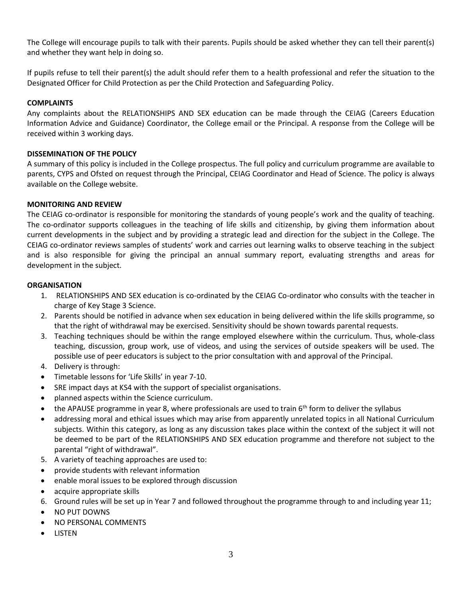The College will encourage pupils to talk with their parents. Pupils should be asked whether they can tell their parent(s) and whether they want help in doing so.

If pupils refuse to tell their parent(s) the adult should refer them to a health professional and refer the situation to the Designated Officer for Child Protection as per the Child Protection and Safeguarding Policy.

# **COMPLAINTS**

Any complaints about the RELATIONSHIPS AND SEX education can be made through the CEIAG (Careers Education Information Advice and Guidance) Coordinator, the College email or the Principal. A response from the College will be received within 3 working days.

# **DISSEMINATION OF THE POLICY**

A summary of this policy is included in the College prospectus. The full policy and curriculum programme are available to parents, CYPS and Ofsted on request through the Principal, CEIAG Coordinator and Head of Science. The policy is always available on the College website.

# **MONITORING AND REVIEW**

The CEIAG co-ordinator is responsible for monitoring the standards of young people's work and the quality of teaching. The co-ordinator supports colleagues in the teaching of life skills and citizenship, by giving them information about current developments in the subject and by providing a strategic lead and direction for the subject in the College. The CEIAG co-ordinator reviews samples of students' work and carries out learning walks to observe teaching in the subject and is also responsible for giving the principal an annual summary report, evaluating strengths and areas for development in the subject.

### **ORGANISATION**

- 1. RELATIONSHIPS AND SEX education is co-ordinated by the CEIAG Co-ordinator who consults with the teacher in charge of Key Stage 3 Science.
- 2. Parents should be notified in advance when sex education in being delivered within the life skills programme, so that the right of withdrawal may be exercised. Sensitivity should be shown towards parental requests.
- 3. Teaching techniques should be within the range employed elsewhere within the curriculum. Thus, whole-class teaching, discussion, group work, use of videos, and using the services of outside speakers will be used. The possible use of peer educators is subject to the prior consultation with and approval of the Principal.
- 4. Delivery is through:
- Timetable lessons for 'Life Skills' in year 7-10.
- SRE impact days at KS4 with the support of specialist organisations.
- planned aspects within the Science curriculum.
- the APAUSE programme in year 8, where professionals are used to train 6<sup>th</sup> form to deliver the syllabus
- addressing moral and ethical issues which may arise from apparently unrelated topics in all National Curriculum subjects. Within this category, as long as any discussion takes place within the context of the subject it will not be deemed to be part of the RELATIONSHIPS AND SEX education programme and therefore not subject to the parental "right of withdrawal".
- 5. A variety of teaching approaches are used to:
- provide students with relevant information
- enable moral issues to be explored through discussion
- acquire appropriate skills
- 6. Ground rules will be set up in Year 7 and followed throughout the programme through to and including year 11;
- NO PUT DOWNS
- NO PERSONAL COMMENTS
- LISTEN